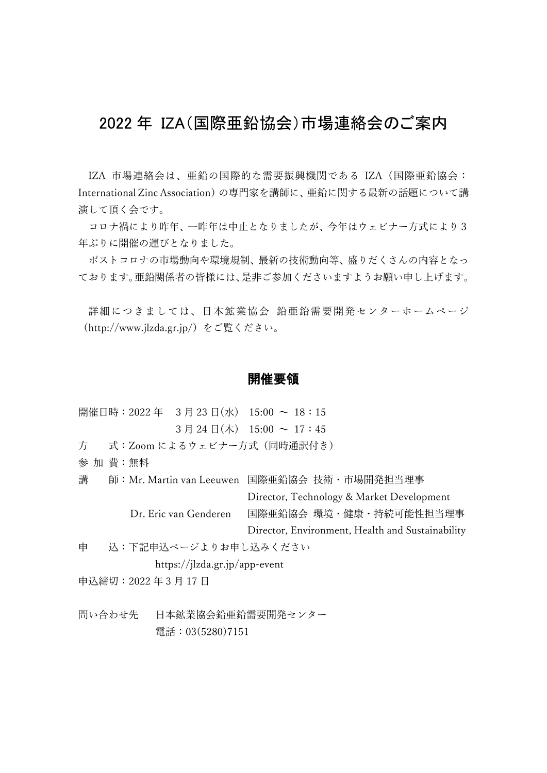# 2022 年 IZA(国際亜鉛協会)市場連絡会のご案内

IZA 市場連絡会は、亜鉛の国際的な需要振興機関である IZA(国際亜鉛協会: International Zinc Association)の専門家を講師に、亜鉛に関する最新の話題について講 演して頂く会です。

コロナ禍により昨年、一昨年は中止となりましたが、今年はウェビナー方式により3 年ぶりに開催の運びとなりました。

ポストコロナの市場動向や環境規制、最新の技術動向等、盛りだくさんの内容となっ ております。亜鉛関係者の皆様には、是非ご参加くださいますようお願い申し上げます。

詳細につきましては、日本鉱業協会 鉛亜鉛需要開発センターホームページ (http://www.jlzda.gr.jp/)をご覧ください。

#### 開催要領

- 開催日時: 2022年 3月 23日(水) 15:00 ~ 18:15  $3 \text{ H } 24 \text{ H} (\text{t})$   $15:00 \sim 17:45$
- 方 式:Zoom によるウェビナー方式(同時通訳付き)
- 参 加 費:無料
- 講 師:Mr. Martin van Leeuwen 国際亜鉛協会 技術・市場開発担当理事 Director, Technology & Market Development Dr. Eric van Genderen 国際亜鉛協会 環境・健康・持続可能性担当理事

Director, Environment, Health and Sustainability

申 込:下記申込ページよりお申し込みください

https://jlzda.gr.jp/app-event

申込締切:2022 年 3 月 17 日

問い合わせ先 日本鉱業協会鉛亜鉛需要開発センター 電話:03(5280)7151